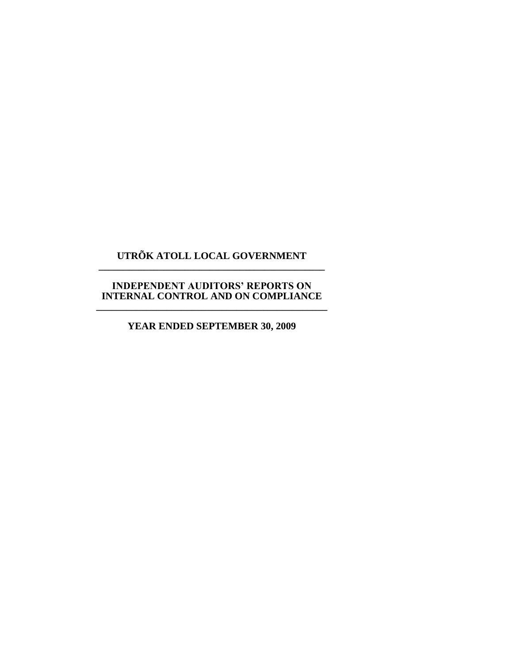# **UTRÕK ATOLL LOCAL GOVERNMENT \_\_\_\_\_\_\_\_\_\_\_\_\_\_\_\_\_\_\_\_\_\_\_\_\_\_\_\_\_\_\_\_\_\_\_\_\_\_\_\_\_\_\_\_\_**

## **INDEPENDENT AUDITORS' REPORTS ON INTERNAL CONTROL AND ON COMPLIANCE \_\_\_\_\_\_\_\_\_\_\_\_\_\_\_\_\_\_\_\_\_\_\_\_\_\_\_\_\_\_\_\_\_\_\_\_\_\_\_\_\_\_\_\_\_\_**

# **YEAR ENDED SEPTEMBER 30, 2009**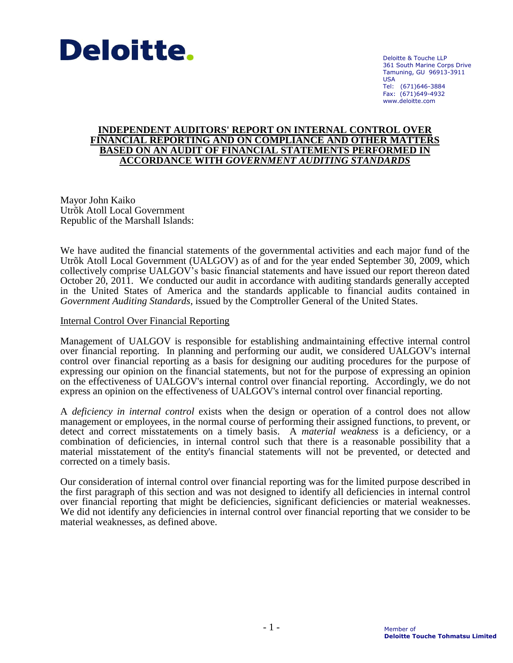

Deloitte & Touche LLP 361 South Marine Corps Drive Tamuning, GU 96913-3911 USA Tel: (671)646-3884 Fax: (671)649-4932 www.deloitte.com

## **INDEPENDENT AUDITORS' REPORT ON INTERNAL CONTROL OVER FINANCIAL REPORTING AND ON COMPLIANCE AND OTHER MATTERS BASED ON AN AUDIT OF FINANCIAL STATEMENTS PERFORMED IN ACCORDANCE WITH** *GOVERNMENT AUDITING STANDARDS*

Mayor John Kaiko Utrõk Atoll Local Government Republic of the Marshall Islands:

We have audited the financial statements of the governmental activities and each major fund of the Utrõk Atoll Local Government (UALGOV) as of and for the year ended September 30, 2009, which collectively comprise UALGOV's basic financial statements and have issued our report thereon dated October 20, 2011. We conducted our audit in accordance with auditing standards generally accepted in the United States of America and the standards applicable to financial audits contained in *Government Auditing Standards*, issued by the Comptroller General of the United States.

Internal Control Over Financial Reporting

Management of UALGOV is responsible for establishing andmaintaining effective internal control over financial reporting. In planning and performing our audit, we considered UALGOV's internal control over financial reporting as a basis for designing our auditing procedures for the purpose of expressing our opinion on the financial statements, but not for the purpose of expressing an opinion on the effectiveness of UALGOV's internal control over financial reporting. Accordingly, we do not express an opinion on the effectiveness of UALGOV's internal control over financial reporting.

A *deficiency in internal control* exists when the design or operation of a control does not allow management or employees, in the normal course of performing their assigned functions, to prevent, or detect and correct misstatements on a timely basis. A *material weakness* is a deficiency, or a combination of deficiencies, in internal control such that there is a reasonable possibility that a material misstatement of the entity's financial statements will not be prevented, or detected and corrected on a timely basis.

Our consideration of internal control over financial reporting was for the limited purpose described in the first paragraph of this section and was not designed to identify all deficiencies in internal control over financial reporting that might be deficiencies, significant deficiencies or material weaknesses. We did not identify any deficiencies in internal control over financial reporting that we consider to be material weaknesses, as defined above.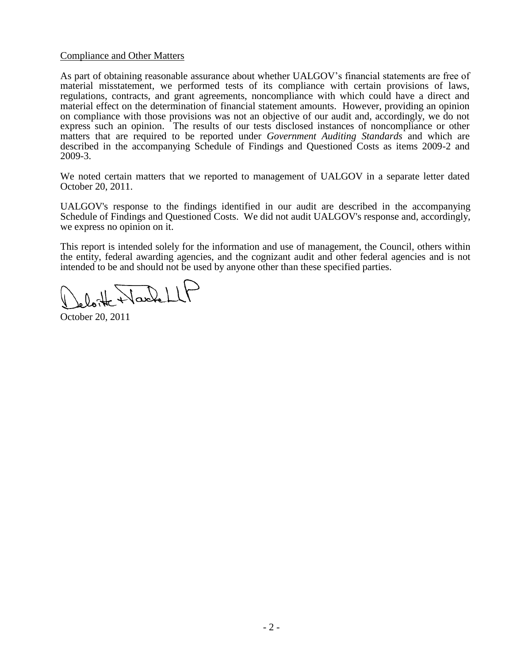## Compliance and Other Matters

As part of obtaining reasonable assurance about whether UALGOV's financial statements are free of material misstatement, we performed tests of its compliance with certain provisions of laws, regulations, contracts, and grant agreements, noncompliance with which could have a direct and material effect on the determination of financial statement amounts. However, providing an opinion on compliance with those provisions was not an objective of our audit and, accordingly, we do not express such an opinion. The results of our tests disclosed instances of noncompliance or other matters that are required to be reported under *Government Auditing Standards* and which are described in the accompanying Schedule of Findings and Questioned Costs as items 2009-2 and 2009-3.

We noted certain matters that we reported to management of UALGOV in a separate letter dated October 20, 2011.

UALGOV's response to the findings identified in our audit are described in the accompanying Schedule of Findings and Questioned Costs. We did not audit UALGOV's response and, accordingly, we express no opinion on it.

This report is intended solely for the information and use of management, the Council, others within the entity, federal awarding agencies, and the cognizant audit and other federal agencies and is not intended to be and should not be used by anyone other than these specified parties.

Varkell

October 20, 2011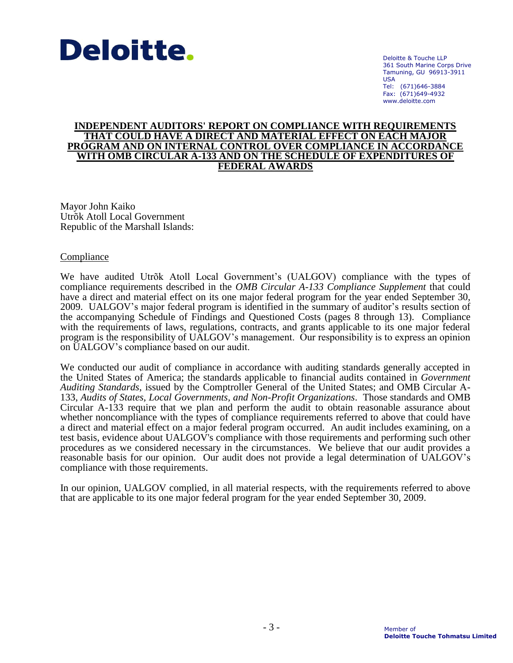

Deloitte & Touche LLP 361 South Marine Corps Drive Tamuning, GU 96913-3911 USA Tel: (671)646-3884 Fax: (671)649-4932 www.deloitte.com

## **INDEPENDENT AUDITORS' REPORT ON COMPLIANCE WITH REQUIREMENTS THAT COULD HAVE A DIRECT AND MATERIAL EFFECT ON EACH MAJOR PROGRAM AND ON INTERNAL CONTROL OVER COMPLIANCE IN ACCORDANCE WITH OMB CIRCULAR A-133 AND ON THE SCHEDULE OF EXPENDITURES OF FEDERAL AWARDS**

Mayor John Kaiko Utrõk Atoll Local Government Republic of the Marshall Islands:

## **Compliance**

We have audited Utrõk Atoll Local Government's (UALGOV) compliance with the types of compliance requirements described in the *OMB Circular A-133 Compliance Supplement* that could have a direct and material effect on its one major federal program for the year ended September 30, 2009. UALGOV's major federal program is identified in the summary of auditor's results section of the accompanying Schedule of Findings and Questioned Costs (pages 8 through 13). Compliance with the requirements of laws, regulations, contracts, and grants applicable to its one major federal program is the responsibility of UALGOV's management. Our responsibility is to express an opinion on UALGOV's compliance based on our audit.

We conducted our audit of compliance in accordance with auditing standards generally accepted in the United States of America; the standards applicable to financial audits contained in *Government Auditing Standards*, issued by the Comptroller General of the United States; and OMB Circular A-133, *Audits of States, Local Governments, and Non-Profit Organizations*. Those standards and OMB Circular A-133 require that we plan and perform the audit to obtain reasonable assurance about whether noncompliance with the types of compliance requirements referred to above that could have a direct and material effect on a major federal program occurred. An audit includes examining, on a test basis, evidence about UALGOV's compliance with those requirements and performing such other procedures as we considered necessary in the circumstances. We believe that our audit provides a reasonable basis for our opinion. Our audit does not provide a legal determination of UALGOV's compliance with those requirements.

In our opinion, UALGOV complied, in all material respects, with the requirements referred to above that are applicable to its one major federal program for the year ended September 30, 2009.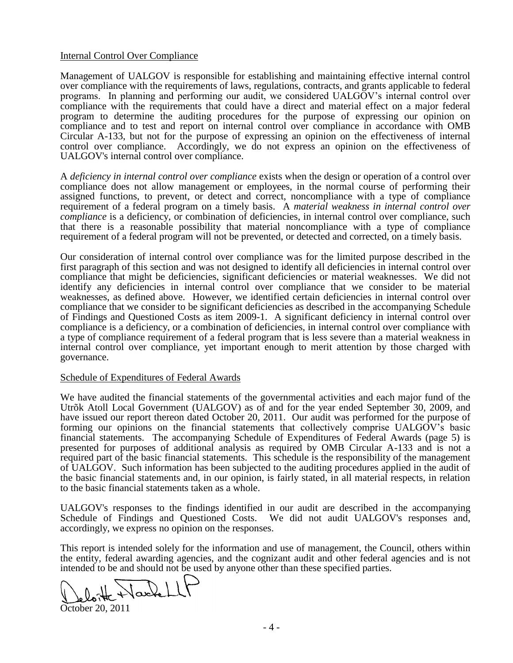## Internal Control Over Compliance

Management of UALGOV is responsible for establishing and maintaining effective internal control over compliance with the requirements of laws, regulations, contracts, and grants applicable to federal programs. In planning and performing our audit, we considered UALGOV's internal control over compliance with the requirements that could have a direct and material effect on a major federal program to determine the auditing procedures for the purpose of expressing our opinion on compliance and to test and report on internal control over compliance in accordance with OMB Circular A-133, but not for the purpose of expressing an opinion on the effectiveness of internal control over compliance. Accordingly, we do not express an opinion on the effectiveness of UALGOV's internal control over compliance.

A *deficiency in internal control over compliance* exists when the design or operation of a control over compliance does not allow management or employees, in the normal course of performing their assigned functions, to prevent, or detect and correct, noncompliance with a type of compliance requirement of a federal program on a timely basis. A *material weakness in internal control over compliance* is a deficiency, or combination of deficiencies, in internal control over compliance, such that there is a reasonable possibility that material noncompliance with a type of compliance requirement of a federal program will not be prevented, or detected and corrected, on a timely basis.

Our consideration of internal control over compliance was for the limited purpose described in the first paragraph of this section and was not designed to identify all deficiencies in internal control over compliance that might be deficiencies, significant deficiencies or material weaknesses. We did not identify any deficiencies in internal control over compliance that we consider to be material weaknesses, as defined above. However, we identified certain deficiencies in internal control over compliance that we consider to be significant deficiencies as described in the accompanying Schedule of Findings and Questioned Costs as item 2009-1. A significant deficiency in internal control over compliance is a deficiency, or a combination of deficiencies, in internal control over compliance with a type of compliance requirement of a federal program that is less severe than a material weakness in internal control over compliance, yet important enough to merit attention by those charged with governance.

#### Schedule of Expenditures of Federal Awards

We have audited the financial statements of the governmental activities and each major fund of the Utrõk Atoll Local Government (UALGOV) as of and for the year ended September 30, 2009, and have issued our report thereon dated October 20, 2011. Our audit was performed for the purpose of forming our opinions on the financial statements that collectively comprise UALGOV's basic financial statements. The accompanying Schedule of Expenditures of Federal Awards (page 5) is presented for purposes of additional analysis as required by OMB Circular A-133 and is not a required part of the basic financial statements. This schedule is the responsibility of the management of UALGOV. Such information has been subjected to the auditing procedures applied in the audit of the basic financial statements and, in our opinion, is fairly stated, in all material respects, in relation to the basic financial statements taken as a whole.

UALGOV's responses to the findings identified in our audit are described in the accompanying Schedule of Findings and Questioned Costs. We did not audit UALGOV's responses and, accordingly, we express no opinion on the responses.

This report is intended solely for the information and use of management, the Council, others within the entity, federal awarding agencies, and the cognizant audit and other federal agencies and is not intended to be and should not be used by anyone other than these specified parties.

loite Nachell

October 20, 2011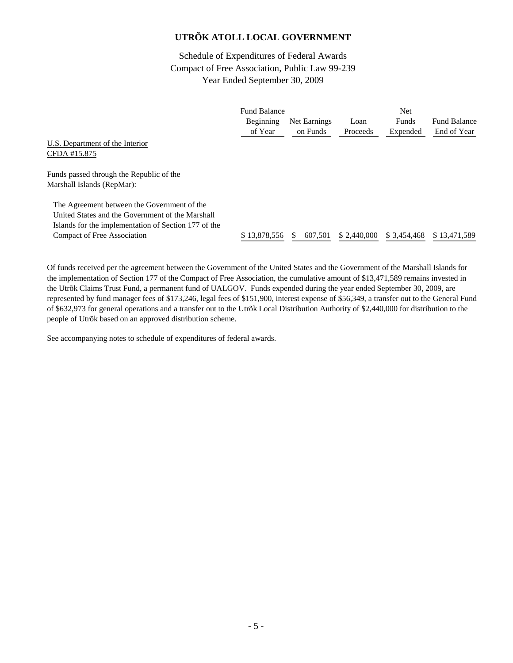Schedule of Expenditures of Federal Awards Compact of Free Association, Public Law 99-239 Year Ended September 30, 2009

|                                                      | <b>Fund Balance</b> |              |             | Net          |                     |
|------------------------------------------------------|---------------------|--------------|-------------|--------------|---------------------|
|                                                      | Beginning           | Net Earnings | Loan        | Funds        | <b>Fund Balance</b> |
|                                                      | of Year             | on Funds     | Proceeds    | Expended     | End of Year         |
| U.S. Department of the Interior                      |                     |              |             |              |                     |
| CFDA #15.875                                         |                     |              |             |              |                     |
| Funds passed through the Republic of the             |                     |              |             |              |                     |
| Marshall Islands (RepMar):                           |                     |              |             |              |                     |
| The Agreement between the Government of the          |                     |              |             |              |                     |
| United States and the Government of the Marshall     |                     |              |             |              |                     |
| Islands for the implementation of Section 177 of the |                     |              |             |              |                     |
| <b>Compact of Free Association</b>                   | \$13.878.556        | 607.501      | \$2,440,000 | \$ 3.454.468 | \$13,471,589        |

Of funds received per the agreement between the Government of the United States and the Government of the Marshall Islands for the implementation of Section 177 of the Compact of Free Association, the cumulative amount of \$13,471,589 remains invested in the Utrõk Claims Trust Fund, a permanent fund of UALGOV. Funds expended during the year ended September 30, 2009, are represented by fund manager fees of \$173,246, legal fees of \$151,900, interest expense of \$56,349, a transfer out to the General Fund of \$632,973 for general operations and a transfer out to the Utrõk Local Distribution Authority of \$2,440,000 for distribution to the people of Utrõk based on an approved distribution scheme.

See accompanying notes to schedule of expenditures of federal awards.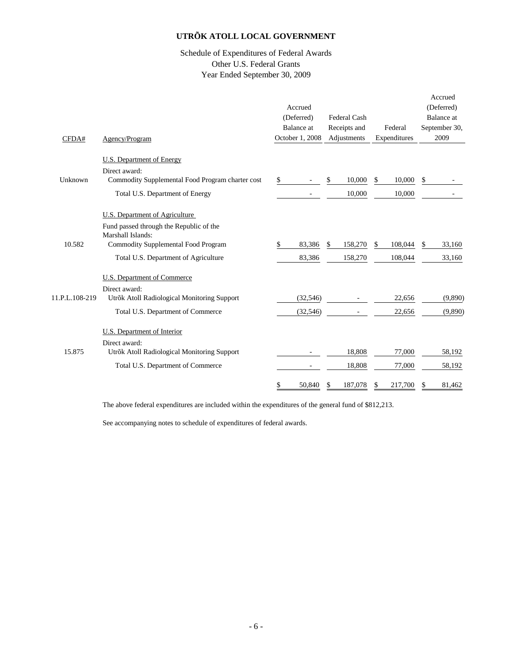## Schedule of Expenditures of Federal Awards Other U.S. Federal Grants Year Ended September 30, 2009

| Accrued<br>(Deferred)<br>Federal Cash<br>Balance at<br>Receipts and<br>Federal<br>October 1, 2008<br>Adjustments<br>Expenditures<br>Agency/Program<br>CFDA#<br><b>U.S. Department of Energy</b><br>Direct award:<br>Commodity Supplemental Food Program charter cost<br>10,000<br>10,000<br>Unknown<br>\$<br>\$<br>\$.<br>Total U.S. Department of Energy<br>10,000<br>10,000<br>U.S. Department of Agriculture<br>Fund passed through the Republic of the<br>Marshall Islands:<br>10.582<br>Commodity Supplemental Food Program<br>83,386<br>158,270<br>108,044<br>\$<br>\$<br>S<br>Total U.S. Department of Agriculture<br>83,386<br>158,270<br>108,044<br><b>U.S. Department of Commerce</b><br>Direct award: | (Deferred)<br>Balance at<br>September 30,<br>2009<br>\$ |
|------------------------------------------------------------------------------------------------------------------------------------------------------------------------------------------------------------------------------------------------------------------------------------------------------------------------------------------------------------------------------------------------------------------------------------------------------------------------------------------------------------------------------------------------------------------------------------------------------------------------------------------------------------------------------------------------------------------|---------------------------------------------------------|
|                                                                                                                                                                                                                                                                                                                                                                                                                                                                                                                                                                                                                                                                                                                  |                                                         |
|                                                                                                                                                                                                                                                                                                                                                                                                                                                                                                                                                                                                                                                                                                                  |                                                         |
|                                                                                                                                                                                                                                                                                                                                                                                                                                                                                                                                                                                                                                                                                                                  |                                                         |
|                                                                                                                                                                                                                                                                                                                                                                                                                                                                                                                                                                                                                                                                                                                  |                                                         |
|                                                                                                                                                                                                                                                                                                                                                                                                                                                                                                                                                                                                                                                                                                                  |                                                         |
|                                                                                                                                                                                                                                                                                                                                                                                                                                                                                                                                                                                                                                                                                                                  |                                                         |
|                                                                                                                                                                                                                                                                                                                                                                                                                                                                                                                                                                                                                                                                                                                  |                                                         |
|                                                                                                                                                                                                                                                                                                                                                                                                                                                                                                                                                                                                                                                                                                                  |                                                         |
|                                                                                                                                                                                                                                                                                                                                                                                                                                                                                                                                                                                                                                                                                                                  |                                                         |
|                                                                                                                                                                                                                                                                                                                                                                                                                                                                                                                                                                                                                                                                                                                  |                                                         |
|                                                                                                                                                                                                                                                                                                                                                                                                                                                                                                                                                                                                                                                                                                                  | 33,160<br>\$                                            |
|                                                                                                                                                                                                                                                                                                                                                                                                                                                                                                                                                                                                                                                                                                                  | 33,160                                                  |
|                                                                                                                                                                                                                                                                                                                                                                                                                                                                                                                                                                                                                                                                                                                  |                                                         |
|                                                                                                                                                                                                                                                                                                                                                                                                                                                                                                                                                                                                                                                                                                                  |                                                         |
| 11.P.L.108-219<br>Utrõk Atoll Radiological Monitoring Support<br>22,656<br>(32, 546)                                                                                                                                                                                                                                                                                                                                                                                                                                                                                                                                                                                                                             | (9,890)                                                 |
| Total U.S. Department of Commerce<br>(32, 546)<br>22,656                                                                                                                                                                                                                                                                                                                                                                                                                                                                                                                                                                                                                                                         | (9,890)                                                 |
| U.S. Department of Interior                                                                                                                                                                                                                                                                                                                                                                                                                                                                                                                                                                                                                                                                                      |                                                         |
| Direct award:                                                                                                                                                                                                                                                                                                                                                                                                                                                                                                                                                                                                                                                                                                    |                                                         |
| 15.875<br>Utrõk Atoll Radiological Monitoring Support<br>18,808<br>77,000                                                                                                                                                                                                                                                                                                                                                                                                                                                                                                                                                                                                                                        | 58,192                                                  |
| Total U.S. Department of Commerce<br>18,808<br>77,000                                                                                                                                                                                                                                                                                                                                                                                                                                                                                                                                                                                                                                                            | 58,192                                                  |
| 50,840<br>187,078<br>217,700<br>S                                                                                                                                                                                                                                                                                                                                                                                                                                                                                                                                                                                                                                                                                | 81,462                                                  |

The above federal expenditures are included within the expenditures of the general fund of \$812,213.

See accompanying notes to schedule of expenditures of federal awards.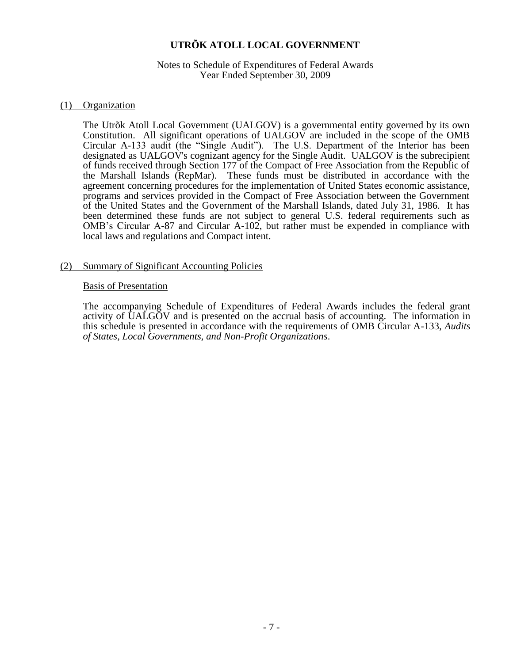## Notes to Schedule of Expenditures of Federal Awards Year Ended September 30, 2009

## (1) Organization

The Utrõk Atoll Local Government (UALGOV) is a governmental entity governed by its own Constitution. All significant operations of UALGOV are included in the scope of the OMB Circular A-133 audit (the "Single Audit"). The U.S. Department of the Interior has been designated as UALGOV's cognizant agency for the Single Audit. UALGOV is the subrecipient of funds received through Section 177 of the Compact of Free Association from the Republic of the Marshall Islands (RepMar). These funds must be distributed in accordance with the agreement concerning procedures for the implementation of United States economic assistance, programs and services provided in the Compact of Free Association between the Government of the United States and the Government of the Marshall Islands, dated July 31, 1986. It has been determined these funds are not subject to general U.S. federal requirements such as OMB's Circular A-87 and Circular A-102, but rather must be expended in compliance with local laws and regulations and Compact intent.

## (2) Summary of Significant Accounting Policies

## Basis of Presentation

The accompanying Schedule of Expenditures of Federal Awards includes the federal grant activity of UALGOV and is presented on the accrual basis of accounting. The information in this schedule is presented in accordance with the requirements of OMB Circular A-133, *Audits of States, Local Governments, and Non-Profit Organizations*.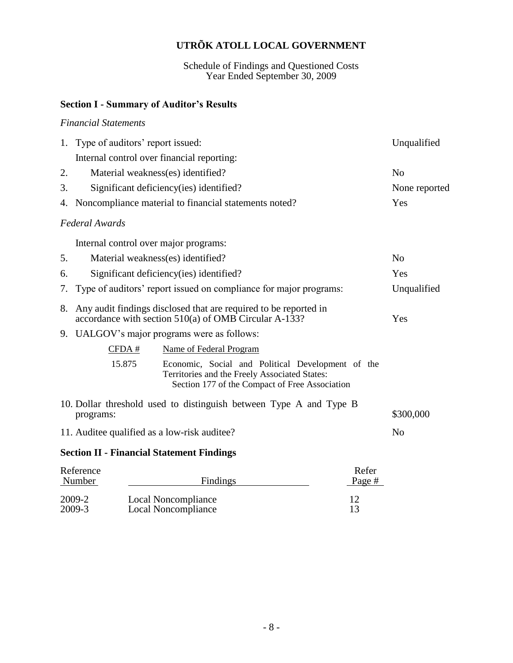Schedule of Findings and Questioned Costs Year Ended September 30, 2009

# **Section I - Summary of Auditor's Results**

## *Financial Statements*

|    | 1. Type of auditors' report issued:                                                                                       |                                                                                                                                                      | Unqualified    |
|----|---------------------------------------------------------------------------------------------------------------------------|------------------------------------------------------------------------------------------------------------------------------------------------------|----------------|
|    | Internal control over financial reporting:                                                                                |                                                                                                                                                      |                |
| 2. | Material weakness(es) identified?                                                                                         |                                                                                                                                                      | N <sub>0</sub> |
| 3. | Significant deficiency (ies) identified?                                                                                  |                                                                                                                                                      | None reported  |
|    | 4. Noncompliance material to financial statements noted?                                                                  |                                                                                                                                                      | Yes            |
|    | Federal Awards                                                                                                            |                                                                                                                                                      |                |
|    | Internal control over major programs:                                                                                     |                                                                                                                                                      |                |
| 5. | Material weakness(es) identified?                                                                                         |                                                                                                                                                      | N <sub>0</sub> |
| 6. | Significant deficiency (ies) identified?                                                                                  |                                                                                                                                                      | Yes            |
| 7. |                                                                                                                           | Type of auditors' report issued on compliance for major programs:                                                                                    | Unqualified    |
| 8. | Any audit findings disclosed that are required to be reported in<br>accordance with section 510(a) of OMB Circular A-133? |                                                                                                                                                      | Yes            |
|    | 9. UALGOV's major programs were as follows:                                                                               |                                                                                                                                                      |                |
|    | CFDA#                                                                                                                     | Name of Federal Program                                                                                                                              |                |
|    | 15.875                                                                                                                    | Economic, Social and Political Development of the<br>Territories and the Freely Associated States:<br>Section 177 of the Compact of Free Association |                |
|    | programs:                                                                                                                 | 10. Dollar threshold used to distinguish between Type A and Type B                                                                                   | \$300,000      |
|    | 11. Auditee qualified as a low-risk auditee?                                                                              |                                                                                                                                                      | N <sub>o</sub> |
|    | <b>Section II - Financial Statement Findings</b>                                                                          |                                                                                                                                                      |                |

| Reference<br>Number | <b>Findings</b>     | Refer<br>Page # |
|---------------------|---------------------|-----------------|
| 2009-2              | Local Noncompliance | 12              |
| 2009-3              | Local Noncompliance | 13              |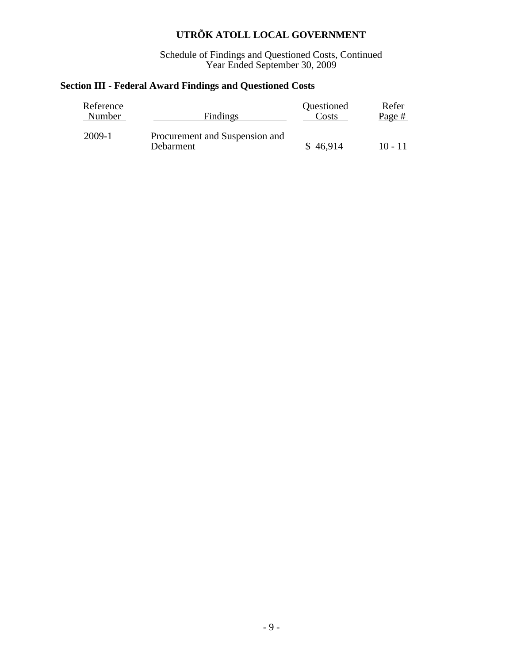Schedule of Findings and Questioned Costs, Continued Year Ended September 30, 2009

# **Section III - Federal Award Findings and Questioned Costs**

| Reference | Findings                                    | Questioned | Refer     |
|-----------|---------------------------------------------|------------|-----------|
| Number    |                                             | Costs      | Page #    |
| 2009-1    | Procurement and Suspension and<br>Debarment | \$46,914   | $10 - 11$ |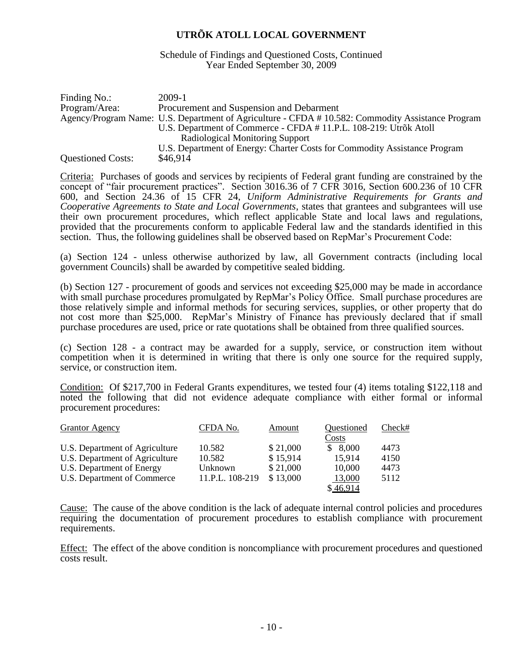Schedule of Findings and Questioned Costs, Continued Year Ended September 30, 2009

| Finding No.:             | 2009-1                                                                                            |
|--------------------------|---------------------------------------------------------------------------------------------------|
| Program/Area:            | Procurement and Suspension and Debarment                                                          |
|                          | Agency/Program Name: U.S. Department of Agriculture - CFDA # 10.582: Commodity Assistance Program |
|                          | U.S. Department of Commerce - CFDA # 11.P.L. 108-219: Utrõk Atoll                                 |
|                          | Radiological Monitoring Support                                                                   |
|                          | U.S. Department of Energy: Charter Costs for Commodity Assistance Program                         |
| <b>Questioned Costs:</b> | \$46,914                                                                                          |

Criteria: Purchases of goods and services by recipients of Federal grant funding are constrained by the concept of "fair procurement practices". Section 3016.36 of 7 CFR 3016, Section 600.236 of 10 CFR 600, and Section 24.36 of 15 CFR 24, *Uniform Administrative Requirements for Grants and Cooperative Agreements to State and Local Governments*, states that grantees and subgrantees will use their own procurement procedures, which reflect applicable State and local laws and regulations, provided that the procurements conform to applicable Federal law and the standards identified in this section. Thus, the following guidelines shall be observed based on RepMar's Procurement Code:

(a) Section 124 - unless otherwise authorized by law, all Government contracts (including local government Councils) shall be awarded by competitive sealed bidding.

(b) Section 127 - procurement of goods and services not exceeding \$25,000 may be made in accordance with small purchase procedures promulgated by RepMar's Policy Office. Small purchase procedures are those relatively simple and informal methods for securing services, supplies, or other property that do not cost more than \$25,000. RepMar's Ministry of Finance has previously declared that if small purchase procedures are used, price or rate quotations shall be obtained from three qualified sources.

(c) Section 128 - a contract may be awarded for a supply, service, or construction item without competition when it is determined in writing that there is only one source for the required supply, service, or construction item.

Condition: Of \$217,700 in Federal Grants expenditures, we tested four (4) items totaling \$122,118 and noted the following that did not evidence adequate compliance with either formal or informal procurement procedures:

| <b>Grantor Agency</b>          | CFDA No.        | Amount   | Questioned | Check# |
|--------------------------------|-----------------|----------|------------|--------|
|                                |                 |          | Costs      |        |
| U.S. Department of Agriculture | 10.582          | \$21,000 | \$8,000    | 4473   |
| U.S. Department of Agriculture | 10.582          | \$15,914 | 15,914     | 4150   |
| U.S. Department of Energy      | Unknown         | \$21,000 | 10,000     | 4473   |
| U.S. Department of Commerce    | 11.P.L. 108-219 | \$13,000 | 13,000     | 5112   |
|                                |                 |          | \$46,914   |        |

Cause: The cause of the above condition is the lack of adequate internal control policies and procedures requiring the documentation of procurement procedures to establish compliance with procurement requirements.

Effect: The effect of the above condition is noncompliance with procurement procedures and questioned costs result.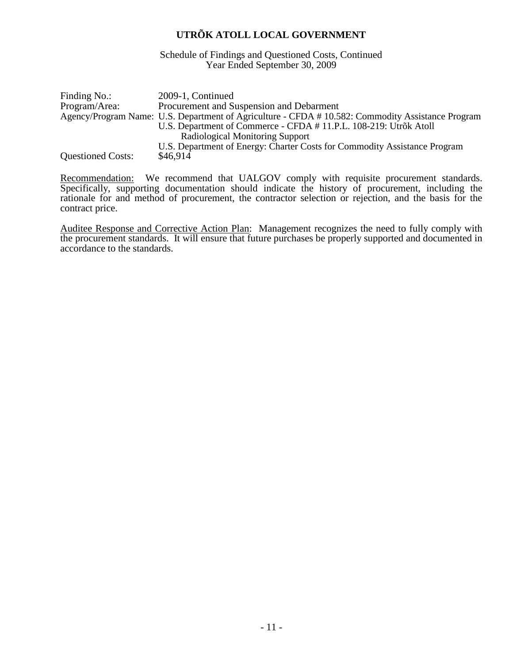Schedule of Findings and Questioned Costs, Continued Year Ended September 30, 2009

| Finding No.:             | 2009-1, Continued                                                                                 |
|--------------------------|---------------------------------------------------------------------------------------------------|
| Program/Area:            | Procurement and Suspension and Debarment                                                          |
|                          | Agency/Program Name: U.S. Department of Agriculture - CFDA # 10.582: Commodity Assistance Program |
|                          | U.S. Department of Commerce - CFDA # 11.P.L. 108-219: Utrõk Atoll                                 |
|                          | Radiological Monitoring Support                                                                   |
|                          | U.S. Department of Energy: Charter Costs for Commodity Assistance Program                         |
| <b>Questioned Costs:</b> | \$46,914                                                                                          |

Recommendation: We recommend that UALGOV comply with requisite procurement standards. Specifically, supporting documentation should indicate the history of procurement, including the rationale for and method of procurement, the contractor selection or rejection, and the basis for the contract price.

Auditee Response and Corrective Action Plan: Management recognizes the need to fully comply with the procurement standards. It will ensure that future purchases be properly supported and documented in accordance to the standards.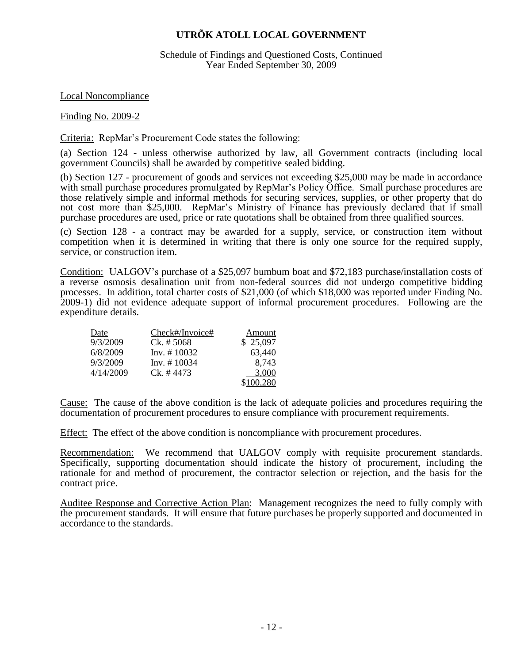## Schedule of Findings and Questioned Costs, Continued Year Ended September 30, 2009

Local Noncompliance

Finding No. 2009-2

Criteria: RepMar's Procurement Code states the following:

(a) Section 124 - unless otherwise authorized by law, all Government contracts (including local government Councils) shall be awarded by competitive sealed bidding.

(b) Section 127 - procurement of goods and services not exceeding \$25,000 may be made in accordance with small purchase procedures promulgated by RepMar's Policy Office. Small purchase procedures are those relatively simple and informal methods for securing services, supplies, or other property that do not cost more than \$25,000. RepMar's Ministry of Finance has previously declared that if small purchase procedures are used, price or rate quotations shall be obtained from three qualified sources.

(c) Section 128 - a contract may be awarded for a supply, service, or construction item without competition when it is determined in writing that there is only one source for the required supply, service, or construction item.

Condition: UALGOV's purchase of a \$25,097 bumbum boat and \$72,183 purchase/installation costs of a reverse osmosis desalination unit from non-federal sources did not undergo competitive bidding processes. In addition, total charter costs of \$21,000 (of which \$18,000 was reported under Finding No. 2009-1) did not evidence adequate support of informal procurement procedures. Following are the expenditure details.

| Date      | $Check\#/Invoice\#)$ | Amount    |
|-----------|----------------------|-----------|
| 9/3/2009  | $Ck. \# 5068$        | \$25,097  |
| 6/8/2009  | $Inv. \# 10032$      | 63,440    |
| 9/3/2009  | $Inv. \# 10034$      | 8,743     |
| 4/14/2009 | $Ck. \# 4473$        | 3,000     |
|           |                      | \$100,280 |

Cause: The cause of the above condition is the lack of adequate policies and procedures requiring the documentation of procurement procedures to ensure compliance with procurement requirements.

Effect: The effect of the above condition is noncompliance with procurement procedures.

Recommendation: We recommend that UALGOV comply with requisite procurement standards. Specifically, supporting documentation should indicate the history of procurement, including the rationale for and method of procurement, the contractor selection or rejection, and the basis for the contract price.

Auditee Response and Corrective Action Plan: Management recognizes the need to fully comply with the procurement standards. It will ensure that future purchases be properly supported and documented in accordance to the standards.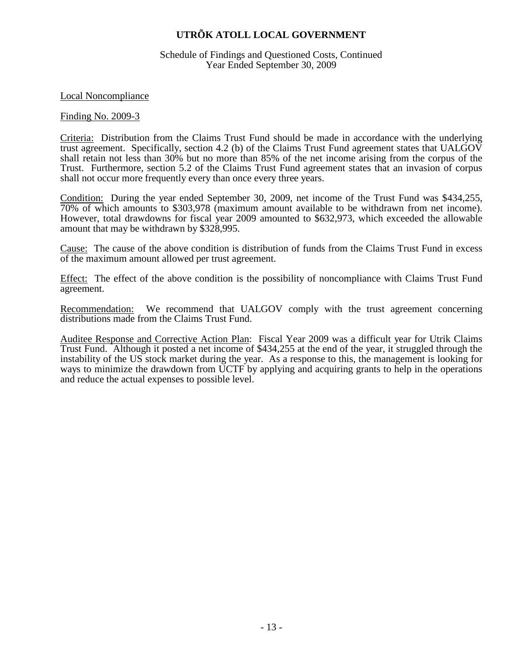Schedule of Findings and Questioned Costs, Continued Year Ended September 30, 2009

Local Noncompliance

## Finding No. 2009-3

Criteria: Distribution from the Claims Trust Fund should be made in accordance with the underlying trust agreement. Specifically, section 4.2 (b) of the Claims Trust Fund agreement states that UALGOV shall retain not less than 30% but no more than 85% of the net income arising from the corpus of the Trust. Furthermore, section 5.2 of the Claims Trust Fund agreement states that an invasion of corpus shall not occur more frequently every than once every three years.

Condition: During the year ended September 30, 2009, net income of the Trust Fund was \$434,255, 70% of which amounts to \$303,978 (maximum amount available to be withdrawn from net income). However, total drawdowns for fiscal year 2009 amounted to \$632,973, which exceeded the allowable amount that may be withdrawn by \$328,995.

Cause: The cause of the above condition is distribution of funds from the Claims Trust Fund in excess of the maximum amount allowed per trust agreement.

Effect: The effect of the above condition is the possibility of noncompliance with Claims Trust Fund agreement.

Recommendation: We recommend that UALGOV comply with the trust agreement concerning distributions made from the Claims Trust Fund.

Auditee Response and Corrective Action Plan: Fiscal Year 2009 was a difficult year for Utrik Claims Trust Fund. Although it posted a net income of \$434,255 at the end of the year, it struggled through the instability of the US stock market during the year. As a response to this, the management is looking for ways to minimize the drawdown from UCTF by applying and acquiring grants to help in the operations and reduce the actual expenses to possible level.